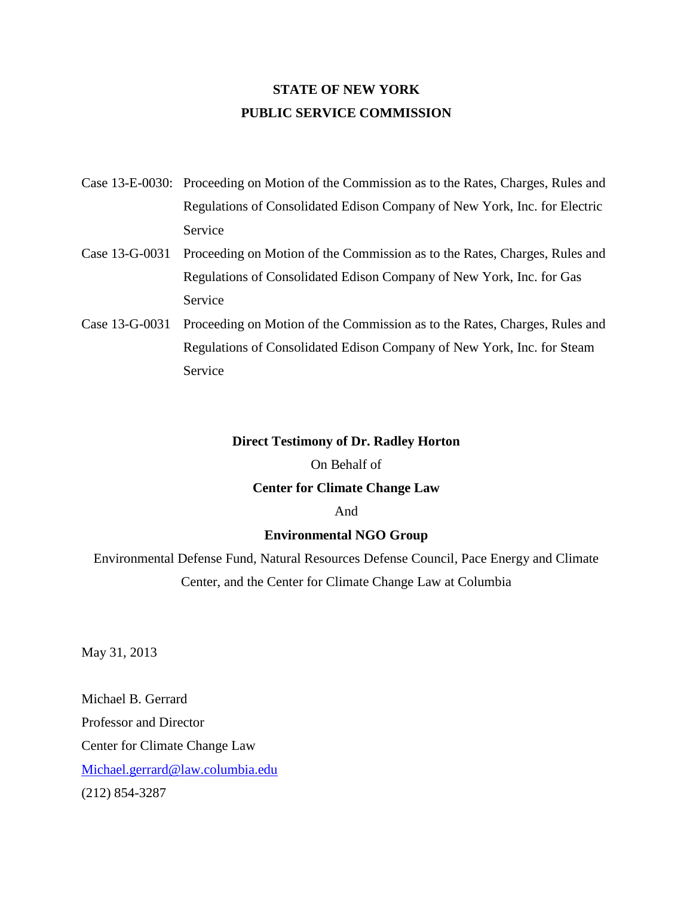## **STATE OF NEW YORK PUBLIC SERVICE COMMISSION**

- Case 13-E-0030: Proceeding on Motion of the Commission as to the Rates, Charges, Rules and Regulations of Consolidated Edison Company of New York, Inc. for Electric Service
- Case 13-G-0031 Proceeding on Motion of the Commission as to the Rates, Charges, Rules and Regulations of Consolidated Edison Company of New York, Inc. for Gas Service
- Case 13-G-0031 Proceeding on Motion of the Commission as to the Rates, Charges, Rules and Regulations of Consolidated Edison Company of New York, Inc. for Steam Service

### **Direct Testimony of Dr. Radley Horton**

#### On Behalf of

### **Center for Climate Change Law**

#### And

### **Environmental NGO Group**

Environmental Defense Fund, Natural Resources Defense Council, Pace Energy and Climate Center, and the Center for Climate Change Law at Columbia

May 31, 2013

Michael B. Gerrard Professor and Director Center for Climate Change Law [Michael.gerrard@law.columbia.edu](mailto:Michael.gerrard@law.columbia.edu) (212) 854-3287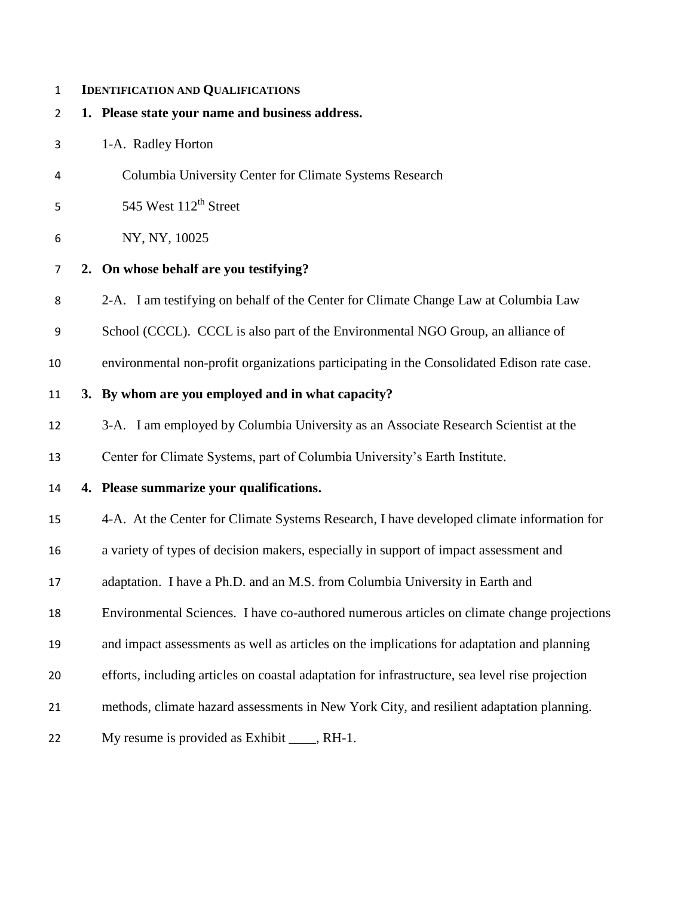### **IDENTIFICATION AND QUALIFICATIONS**

- **1. Please state your name and business address.**
- 1-A. Radley Horton
- Columbia University Center for Climate Systems Research
- 5 West  $112<sup>th</sup>$  Street
- NY, NY, 10025
- **2. On whose behalf are you testifying?**
- 2-A. I am testifying on behalf of the Center for Climate Change Law at Columbia Law
- School (CCCL). CCCL is also part of the Environmental NGO Group, an alliance of
- environmental non-profit organizations participating in the Consolidated Edison rate case.

## **3. By whom are you employed and in what capacity?**

3-A. I am employed by Columbia University as an Associate Research Scientist at the

Center for Climate Systems, part of Columbia University's Earth Institute.

## **4. Please summarize your qualifications.**

4-A. At the Center for Climate Systems Research, I have developed climate information for

a variety of types of decision makers, especially in support of impact assessment and

- adaptation. I have a Ph.D. and an M.S. from Columbia University in Earth and
- Environmental Sciences. I have co-authored numerous articles on climate change projections
- and impact assessments as well as articles on the implications for adaptation and planning
- efforts, including articles on coastal adaptation for infrastructure, sea level rise projection
- methods, climate hazard assessments in New York City, and resilient adaptation planning.

22 My resume is provided as Exhibit , RH-1.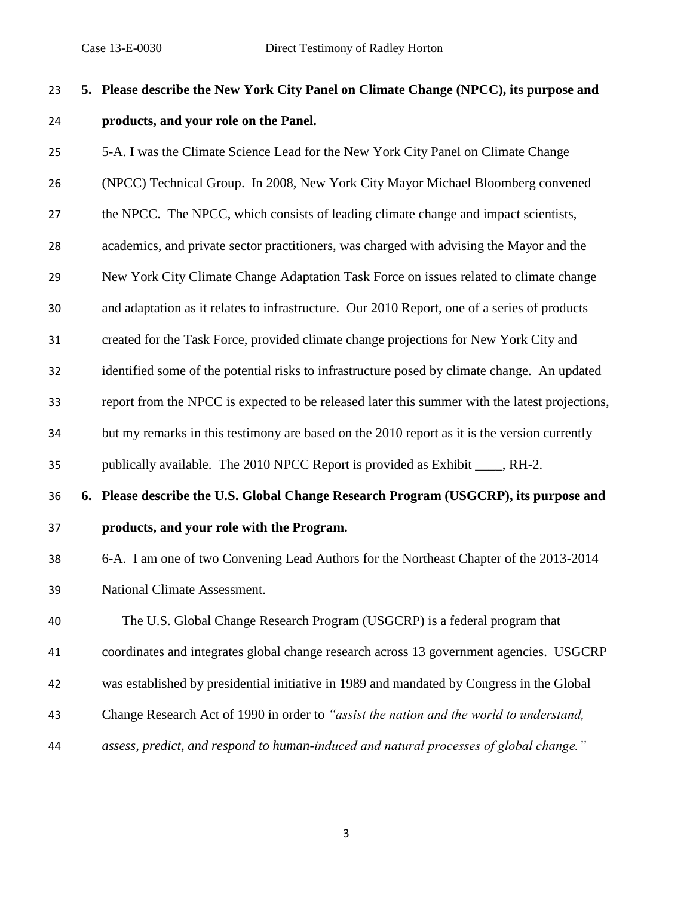# **5. Please describe the New York City Panel on Climate Change (NPCC), its purpose and products, and your role on the Panel.**

5-A. I was the Climate Science Lead for the New York City Panel on Climate Change

(NPCC) Technical Group. In 2008, New York City Mayor Michael Bloomberg convened

27 the NPCC. The NPCC, which consists of leading climate change and impact scientists,

academics, and private sector practitioners, was charged with advising the Mayor and the

New York City Climate Change Adaptation Task Force on issues related to climate change

and adaptation as it relates to infrastructure. Our 2010 Report, one of a series of products

created for the Task Force, provided climate change projections for New York City and

identified some of the potential risks to infrastructure posed by climate change. An updated

report from the NPCC is expected to be released later this summer with the latest projections,

but my remarks in this testimony are based on the 2010 report as it is the version currently

publically available. The 2010 NPCC Report is provided as Exhibit \_\_\_\_, RH-2.

# **6. Please describe the U.S. Global Change Research Program (USGCRP), its purpose and products, and your role with the Program.**

 6-A. I am one of two Convening Lead Authors for the Northeast Chapter of the 2013-2014 National Climate Assessment.

The U.S. Global Change Research Program (USGCRP) is a federal program that

coordinates and integrates global change research across 13 government agencies. USGCRP

- was established by presidential initiative in 1989 and mandated by Congress in the Global
- Change Research Act of 1990 in order to *"assist the nation and the world to understand,*
- *assess, predict, and respond to human-induced and natural processes of global change."*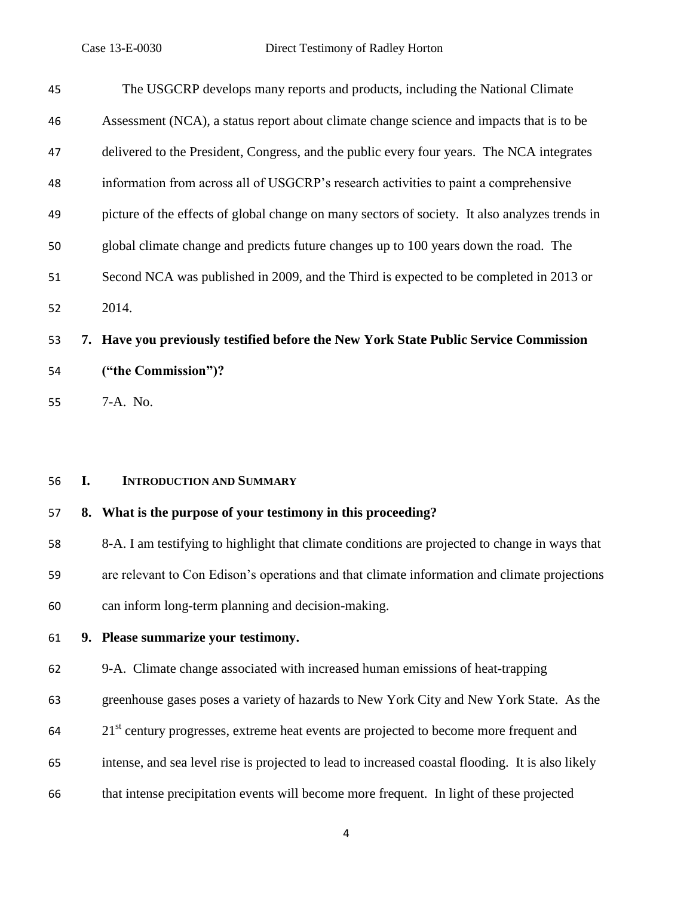| 45 |    | The USGCRP develops many reports and products, including the National Climate                  |
|----|----|------------------------------------------------------------------------------------------------|
| 46 |    | Assessment (NCA), a status report about climate change science and impacts that is to be       |
| 47 |    | delivered to the President, Congress, and the public every four years. The NCA integrates      |
| 48 |    | information from across all of USGCRP's research activities to paint a comprehensive           |
| 49 |    | picture of the effects of global change on many sectors of society. It also analyzes trends in |
| 50 |    | global climate change and predicts future changes up to 100 years down the road. The           |
| 51 |    | Second NCA was published in 2009, and the Third is expected to be completed in 2013 or         |
| 52 |    | 2014.                                                                                          |
| 53 |    | 7. Have you previously testified before the New York State Public Service Commission           |
| 54 |    | ("the Commission")?                                                                            |
| 55 |    | 7-A. No.                                                                                       |
|    |    |                                                                                                |
|    |    |                                                                                                |
| 56 | I. | <b>INTRODUCTION AND SUMMARY</b>                                                                |
| 57 | 8. | What is the purpose of your testimony in this proceeding?                                      |
| 58 |    | 8-A. I am testifying to highlight that climate conditions are projected to change in ways that |
| 59 |    | are relevant to Con Edison's operations and that climate information and climate projections   |
| 60 |    | can inform long-term planning and decision-making.                                             |

## **9. Please summarize your testimony.**

9-A. Climate change associated with increased human emissions of heat-trapping

greenhouse gases poses a variety of hazards to New York City and New York State. As the

- 64 21<sup>st</sup> century progresses, extreme heat events are projected to become more frequent and
- intense, and sea level rise is projected to lead to increased coastal flooding. It is also likely
- that intense precipitation events will become more frequent. In light of these projected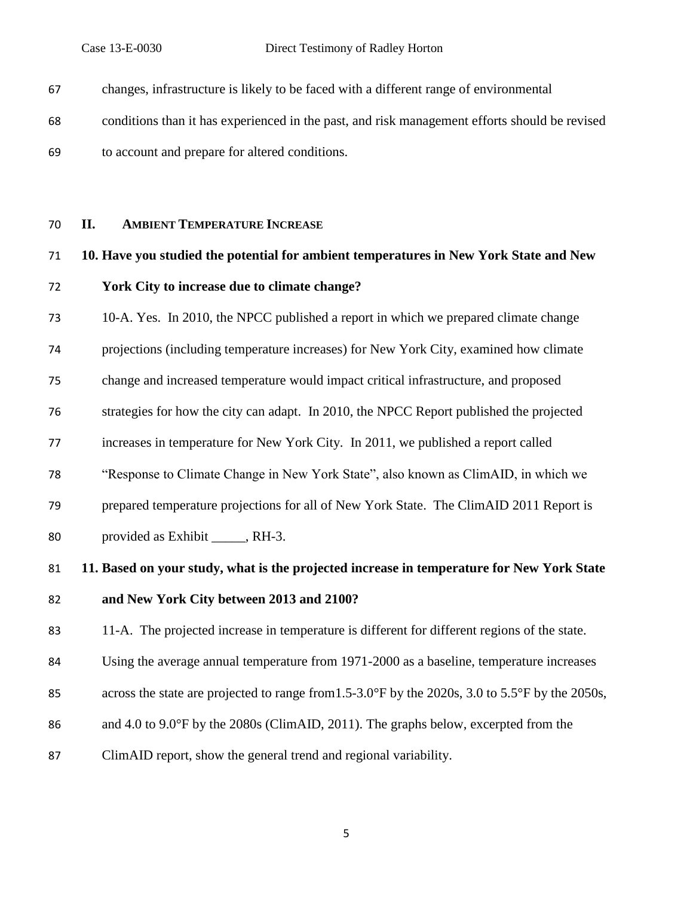| 67 | changes, infrastructure is likely to be faced with a different range of environmental         |
|----|-----------------------------------------------------------------------------------------------|
| 68 | conditions than it has experienced in the past, and risk management efforts should be revised |
| 69 | to account and prepare for altered conditions.                                                |

## **II. AMBIENT TEMPERATURE INCREASE**

# **10. Have you studied the potential for ambient temperatures in New York State and New York City to increase due to climate change?**

10-A. Yes. In 2010, the NPCC published a report in which we prepared climate change

projections (including temperature increases) for New York City, examined how climate

change and increased temperature would impact critical infrastructure, and proposed

strategies for how the city can adapt. In 2010, the NPCC Report published the projected

increases in temperature for New York City. In 2011, we published a report called

"Response to Climate Change in New York State", also known as ClimAID, in which we

prepared temperature projections for all of New York State. The ClimAID 2011 Report is

80 provided as Exhibit , RH-3.

# **11. Based on your study, what is the projected increase in temperature for New York State and New York City between 2013 and 2100?**

11-A. The projected increase in temperature is different for different regions of the state.

Using the average annual temperature from 1971-2000 as a baseline, temperature increases

- 85 across the state are projected to range from 1.5-3.0°F by the 2020s, 3.0 to 5.5°F by the 2050s,
- and 4.0 to 9.0°F by the 2080s (ClimAID, 2011). The graphs below, excerpted from the
- ClimAID report, show the general trend and regional variability.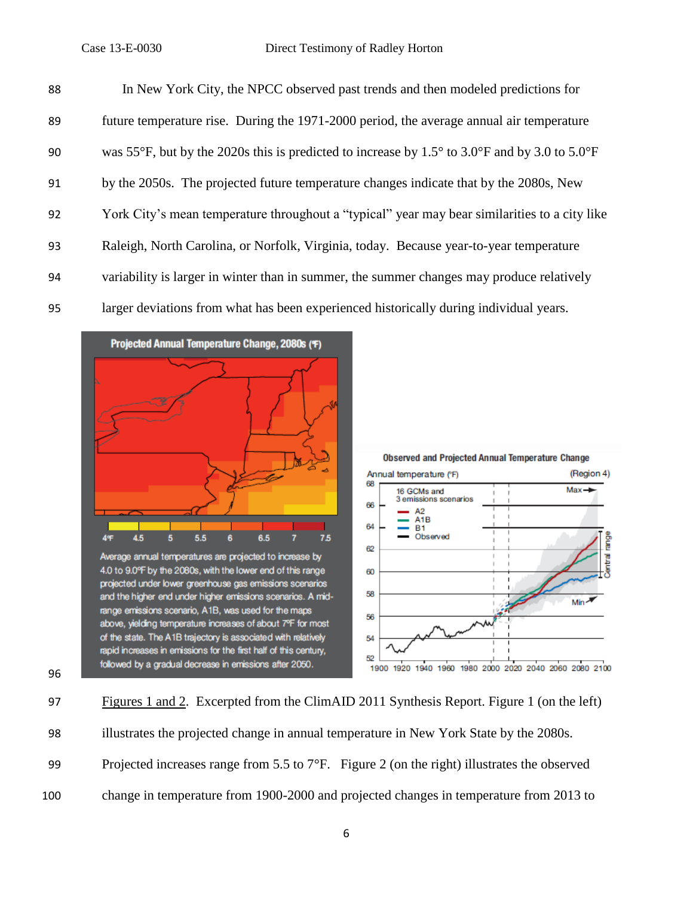| 88 | In New York City, the NPCC observed past trends and then modeled predictions for              |
|----|-----------------------------------------------------------------------------------------------|
| 89 | future temperature rise. During the 1971-2000 period, the average annual air temperature      |
| 90 | was 55°F, but by the 2020s this is predicted to increase by 1.5° to 3.0°F and by 3.0 to 5.0°F |
| 91 | by the 2050s. The projected future temperature changes indicate that by the 2080s, New        |
| 92 | York City's mean temperature throughout a "typical" year may bear similarities to a city like |
| 93 | Raleigh, North Carolina, or Norfolk, Virginia, today. Because year-to-year temperature        |
| 94 | variability is larger in winter than in summer, the summer changes may produce relatively     |
| 95 | larger deviations from what has been experienced historically during individual years.        |





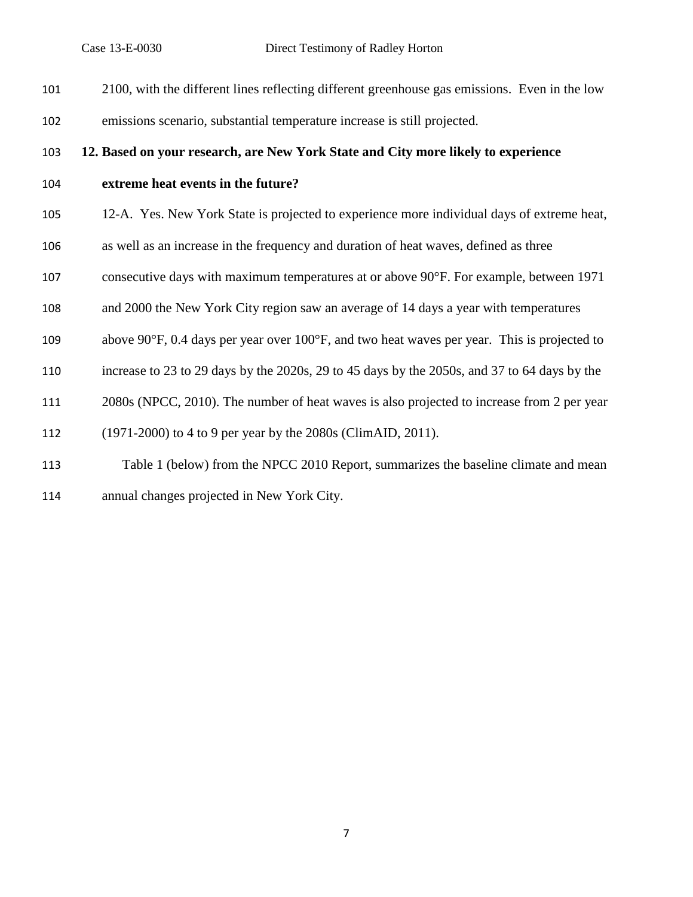| 101 | 2100, with the different lines reflecting different greenhouse gas emissions. Even in the low                    |
|-----|------------------------------------------------------------------------------------------------------------------|
| 102 | emissions scenario, substantial temperature increase is still projected.                                         |
| 103 | 12. Based on your research, are New York State and City more likely to experience                                |
| 104 | extreme heat events in the future?                                                                               |
| 105 | 12-A. Yes. New York State is projected to experience more individual days of extreme heat,                       |
| 106 | as well as an increase in the frequency and duration of heat waves, defined as three                             |
| 107 | consecutive days with maximum temperatures at or above 90°F. For example, between 1971                           |
| 108 | and 2000 the New York City region saw an average of 14 days a year with temperatures                             |
| 109 | above $90^{\circ}$ F, 0.4 days per year over 100 $^{\circ}$ F, and two heat waves per year. This is projected to |
| 110 | increase to 23 to 29 days by the 2020s, 29 to 45 days by the 2050s, and 37 to 64 days by the                     |
| 111 | 2080s (NPCC, 2010). The number of heat waves is also projected to increase from 2 per year                       |
| 112 | (1971-2000) to 4 to 9 per year by the 2080s (ClimAID, 2011).                                                     |
| 113 | Table 1 (below) from the NPCC 2010 Report, summarizes the baseline climate and mean                              |
|     |                                                                                                                  |

annual changes projected in New York City.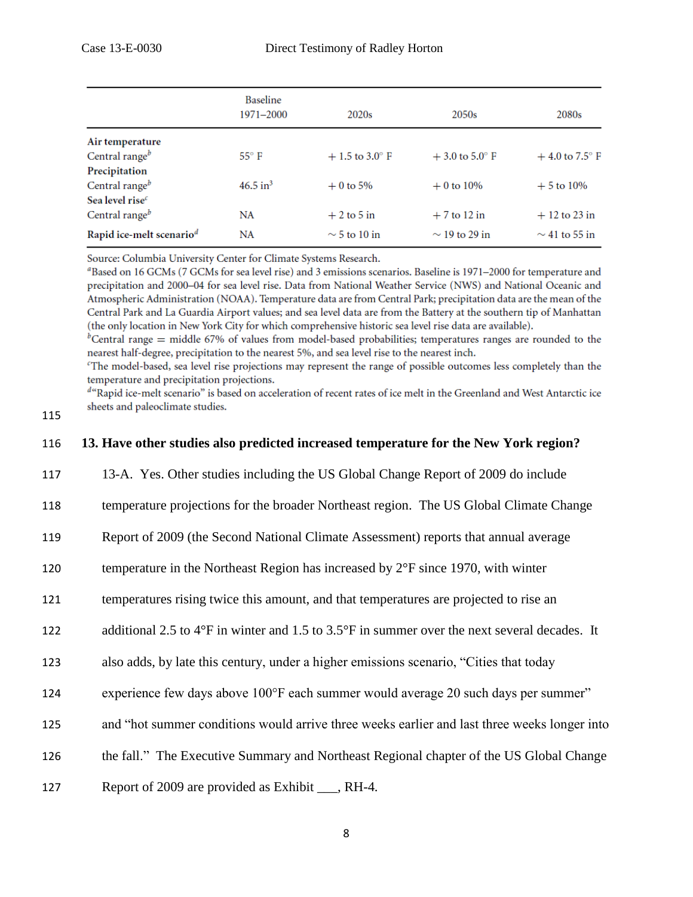|                                      | <b>Baseline</b><br>1971-2000 | 2020 <sub>s</sub> | 2050s              | 2080 <sub>s</sub>         |
|--------------------------------------|------------------------------|-------------------|--------------------|---------------------------|
| Air temperature                      |                              |                   |                    |                           |
| Central range $b$                    | $55^{\circ}$ F               | $+1.5$ to 3.0° F  | $+3.0$ to 5.0° F   | $+4.0$ to 7.5 $\degree$ F |
| Precipitation                        |                              |                   |                    |                           |
| Central range $b$                    | $46.5$ in <sup>3</sup>       | $+0$ to 5%        | $+0$ to 10%        | $+5$ to 10%               |
| Sea level rise $c$                   |                              |                   |                    |                           |
| Central range $b$                    | NA                           | $+2$ to 5 in      | $+7$ to 12 in      | $+12$ to 23 in            |
| Rapid ice-melt scenario <sup>d</sup> | NA                           | $\sim$ 5 to 10 in | $\sim$ 19 to 29 in | $\sim$ 41 to 55 in        |

Source: Columbia University Center for Climate Systems Research.

<sup>a</sup>Based on 16 GCMs (7 GCMs for sea level rise) and 3 emissions scenarios. Baseline is 1971–2000 for temperature and precipitation and 2000-04 for sea level rise. Data from National Weather Service (NWS) and National Oceanic and Atmospheric Administration (NOAA). Temperature data are from Central Park; precipitation data are the mean of the Central Park and La Guardia Airport values; and sea level data are from the Battery at the southern tip of Manhattan (the only location in New York City for which comprehensive historic sea level rise data are available).

<sup>b</sup>Central range = middle 67% of values from model-based probabilities; temperatures ranges are rounded to the nearest half-degree, precipitation to the nearest 5%, and sea level rise to the nearest inch.

<sup>c</sup>The model-based, sea level rise projections may represent the range of possible outcomes less completely than the temperature and precipitation projections.

<sup>d</sup>"Rapid ice-melt scenario" is based on acceleration of recent rates of ice melt in the Greenland and West Antarctic ice sheets and paleoclimate studies.

115

## 116 **13. Have other studies also predicted increased temperature for the New York region?**

- 117 13-A. Yes. Other studies including the US Global Change Report of 2009 do include
- 118 temperature projections for the broader Northeast region. The US Global Climate Change
- 119 Report of 2009 (the Second National Climate Assessment) reports that annual average
- 120 temperature in the Northeast Region has increased by  $2^{\circ}F$  since 1970, with winter
- 121 temperatures rising twice this amount, and that temperatures are projected to rise an
- 122 additional 2.5 to 4°F in winter and 1.5 to 3.5°F in summer over the next several decades. It
- 123 also adds, by late this century, under a higher emissions scenario, "Cities that today
- 124 experience few days above 100°F each summer would average 20 such days per summer"
- 125 and "hot summer conditions would arrive three weeks earlier and last three weeks longer into
- 126 the fall." The Executive Summary and Northeast Regional chapter of the US Global Change
- 127 Report of 2009 are provided as Exhibit \_\_\_, RH-4.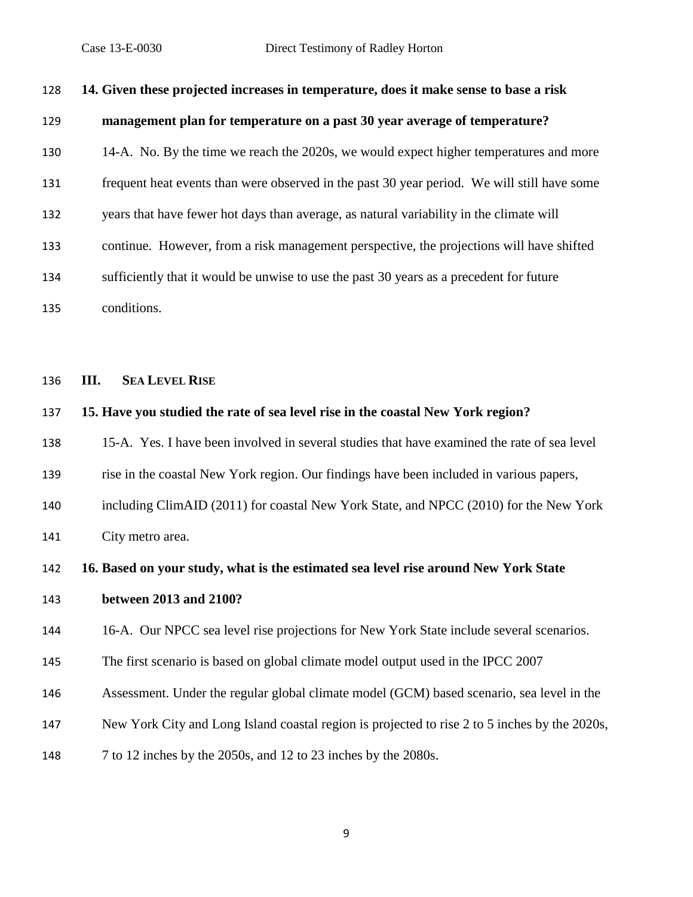| 128 | 14. Given these projected increases in temperature, does it make sense to base a risk         |
|-----|-----------------------------------------------------------------------------------------------|
| 129 | management plan for temperature on a past 30 year average of temperature?                     |
| 130 | 14-A. No. By the time we reach the 2020s, we would expect higher temperatures and more        |
| 131 | frequent heat events than were observed in the past 30 year period. We will still have some   |
| 132 | years that have fewer hot days than average, as natural variability in the climate will       |
| 133 | continue. However, from a risk management perspective, the projections will have shifted      |
| 134 | sufficiently that it would be unwise to use the past 30 years as a precedent for future       |
| 135 | conditions.                                                                                   |
|     |                                                                                               |
| 136 | III.<br><b>SEA LEVEL RISE</b>                                                                 |
| 137 | 15. Have you studied the rate of sea level rise in the coastal New York region?               |
| 138 | 15-A. Yes. I have been involved in several studies that have examined the rate of sea level   |
| 139 | rise in the coastal New York region. Our findings have been included in various papers,       |
| 140 | including ClimAID (2011) for coastal New York State, and NPCC (2010) for the New York         |
| 141 | City metro area.                                                                              |
| 142 | 16. Based on your study, what is the estimated sea level rise around New York State           |
| 143 | between 2013 and 2100?                                                                        |
| 144 | 16-A. Our NPCC sea level rise projections for New York State include several scenarios.       |
| 145 | The first scenario is based on global climate model output used in the IPCC 2007              |
| 146 | Assessment. Under the regular global climate model (GCM) based scenario, sea level in the     |
| 147 | New York City and Long Island coastal region is projected to rise 2 to 5 inches by the 2020s, |
| 148 | 7 to 12 inches by the 2050s, and 12 to 23 inches by the 2080s.                                |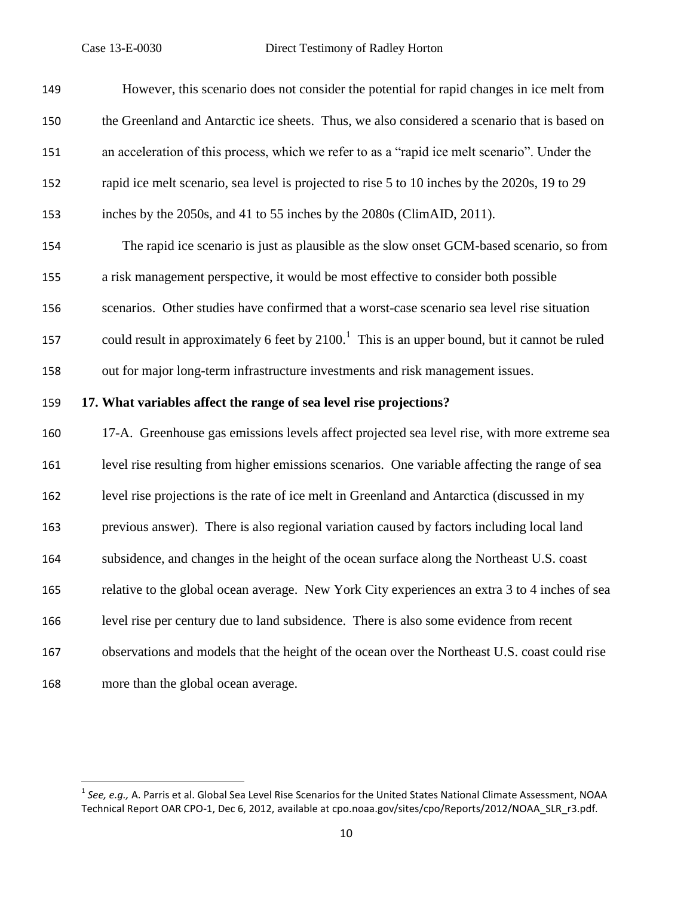| 149 | However, this scenario does not consider the potential for rapid changes in ice melt from        |
|-----|--------------------------------------------------------------------------------------------------|
| 150 | the Greenland and Antarctic ice sheets. Thus, we also considered a scenario that is based on     |
| 151 | an acceleration of this process, which we refer to as a "rapid ice melt scenario". Under the     |
| 152 | rapid ice melt scenario, sea level is projected to rise 5 to 10 inches by the 2020s, 19 to 29    |
| 153 | inches by the 2050s, and 41 to 55 inches by the 2080s (ClimAID, 2011).                           |
| 154 | The rapid ice scenario is just as plausible as the slow onset GCM-based scenario, so from        |
| 155 | a risk management perspective, it would be most effective to consider both possible              |
| 156 | scenarios. Other studies have confirmed that a worst-case scenario sea level rise situation      |
| 157 | could result in approximately 6 feet by $21001$ . This is an upper bound, but it cannot be ruled |
| 158 | out for major long-term infrastructure investments and risk management issues.                   |
|     |                                                                                                  |
| 159 | 17. What variables affect the range of sea level rise projections?                               |
| 160 | 17-A. Greenhouse gas emissions levels affect projected sea level rise, with more extreme sea     |
| 161 | level rise resulting from higher emissions scenarios. One variable affecting the range of sea    |
| 162 | level rise projections is the rate of ice melt in Greenland and Antarctica (discussed in my      |
| 163 | previous answer). There is also regional variation caused by factors including local land        |
| 164 | subsidence, and changes in the height of the ocean surface along the Northeast U.S. coast        |
| 165 | relative to the global ocean average. New York City experiences an extra 3 to 4 inches of sea    |
| 166 | level rise per century due to land subsidence. There is also some evidence from recent           |
| 167 | observations and models that the height of the ocean over the Northeast U.S. coast could rise    |
| 168 | more than the global ocean average.                                                              |

 1 *See, e.g.,* A. Parris et al. Global Sea Level Rise Scenarios for the United States National Climate Assessment, NOAA Technical Report OAR CPO-1, Dec 6, 2012, available at cpo.noaa.gov/sites/cpo/Reports/2012/NOAA\_SLR\_r3.pdf*.*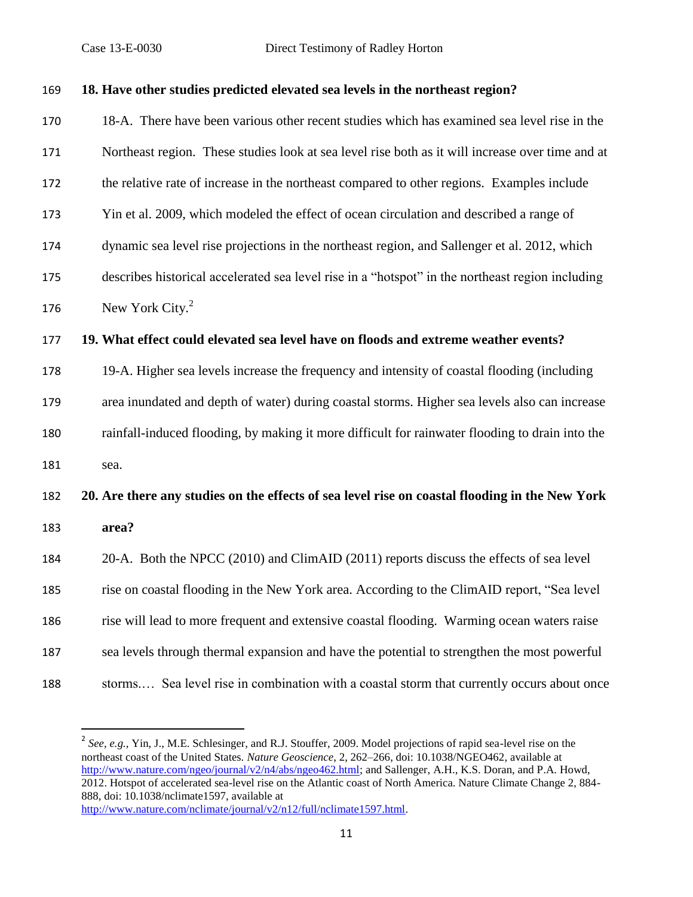| 169 |  |  | 18. Have other studies predicted elevated sea levels in the northeast region? |  |
|-----|--|--|-------------------------------------------------------------------------------|--|
|-----|--|--|-------------------------------------------------------------------------------|--|

 18-A. There have been various other recent studies which has examined sea level rise in the Northeast region. These studies look at sea level rise both as it will increase over time and at the relative rate of increase in the northeast compared to other regions. Examples include Yin et al. 2009, which modeled the effect of ocean circulation and described a range of dynamic sea level rise projections in the northeast region, and Sallenger et al. 2012, which describes historical accelerated sea level rise in a "hotspot" in the northeast region including 176 New York City. **19. What effect could elevated sea level have on floods and extreme weather events?**  19-A. Higher sea levels increase the frequency and intensity of coastal flooding (including area inundated and depth of water) during coastal storms. Higher sea levels also can increase rainfall-induced flooding, by making it more difficult for rainwater flooding to drain into the

sea.

 $\overline{a}$ 

# **20. Are there any studies on the effects of sea level rise on coastal flooding in the New York area?**

 20-A. Both the NPCC (2010) and ClimAID (2011) reports discuss the effects of sea level rise on coastal flooding in the New York area. According to the ClimAID report, "Sea level rise will lead to more frequent and extensive coastal flooding. Warming ocean waters raise sea levels through thermal expansion and have the potential to strengthen the most powerful storms.… Sea level rise in combination with a coastal storm that currently occurs about once

<sup>&</sup>lt;sup>2</sup> See, e.g., Yin, J., M.E. Schlesinger, and R.J. Stouffer, 2009. Model projections of rapid sea-level rise on the northeast coast of the United States. *Nature Geoscience*, 2, 262–266, doi: 10.1038/NGEO462, available at [http://www.nature.com/ngeo/journal/v2/n4/abs/ngeo462.html;](http://www.nature.com/ngeo/journal/v2/n4/abs/ngeo462.html) and Sallenger, A.H., K.S. Doran, and P.A. Howd, 2012. Hotspot of accelerated sea-level rise on the Atlantic coast of North America. Nature Climate Change 2, 884- 888, doi: 10.1038/nclimate1597, available at [http://www.nature.com/nclimate/journal/v2/n12/full/nclimate1597.html.](http://www.nature.com/nclimate/journal/v2/n12/full/nclimate1597.html)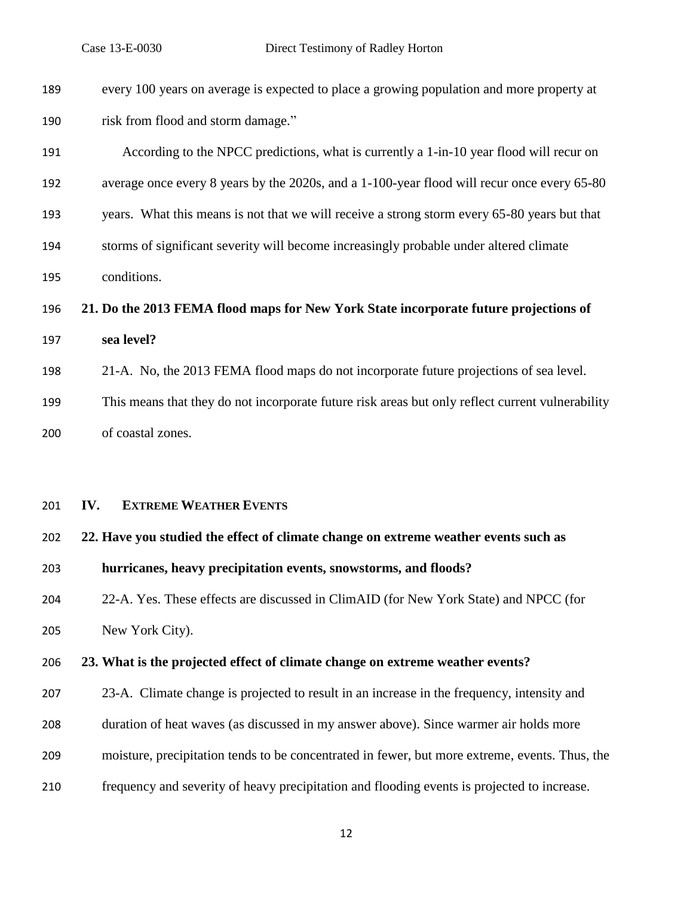| 189 | every 100 years on average is expected to place a growing population and more property at        |
|-----|--------------------------------------------------------------------------------------------------|
| 190 | risk from flood and storm damage."                                                               |
| 191 | According to the NPCC predictions, what is currently a 1-in-10 year flood will recur on          |
| 192 | average once every 8 years by the 2020s, and a 1-100-year flood will recur once every 65-80      |
| 193 | years. What this means is not that we will receive a strong storm every 65-80 years but that     |
| 194 | storms of significant severity will become increasingly probable under altered climate           |
| 195 | conditions.                                                                                      |
| 196 | 21. Do the 2013 FEMA flood maps for New York State incorporate future projections of             |
| 197 | sea level?                                                                                       |
| 198 | 21-A. No, the 2013 FEMA flood maps do not incorporate future projections of sea level.           |
| 199 | This means that they do not incorporate future risk areas but only reflect current vulnerability |
| 200 | of coastal zones.                                                                                |
|     |                                                                                                  |
| 201 | <b>EXTREME WEATHER EVENTS</b><br>IV.                                                             |
|     |                                                                                                  |
| 202 | 22. Have you studied the effect of climate change on extreme weather events such as              |
| 203 | hurricanes, heavy precipitation events, snowstorms, and floods?                                  |
| 204 | 22-A. Yes. These effects are discussed in ClimAID (for New York State) and NPCC (for             |
| 205 | New York City).                                                                                  |
| 206 | 23. What is the projected effect of climate change on extreme weather events?                    |
| 207 | 23-A. Climate change is projected to result in an increase in the frequency, intensity and       |
| 208 | duration of heat waves (as discussed in my answer above). Since warmer air holds more            |
| 209 | moisture, precipitation tends to be concentrated in fewer, but more extreme, events. Thus, the   |
| 210 | frequency and severity of heavy precipitation and flooding events is projected to increase.      |
|     | 12                                                                                               |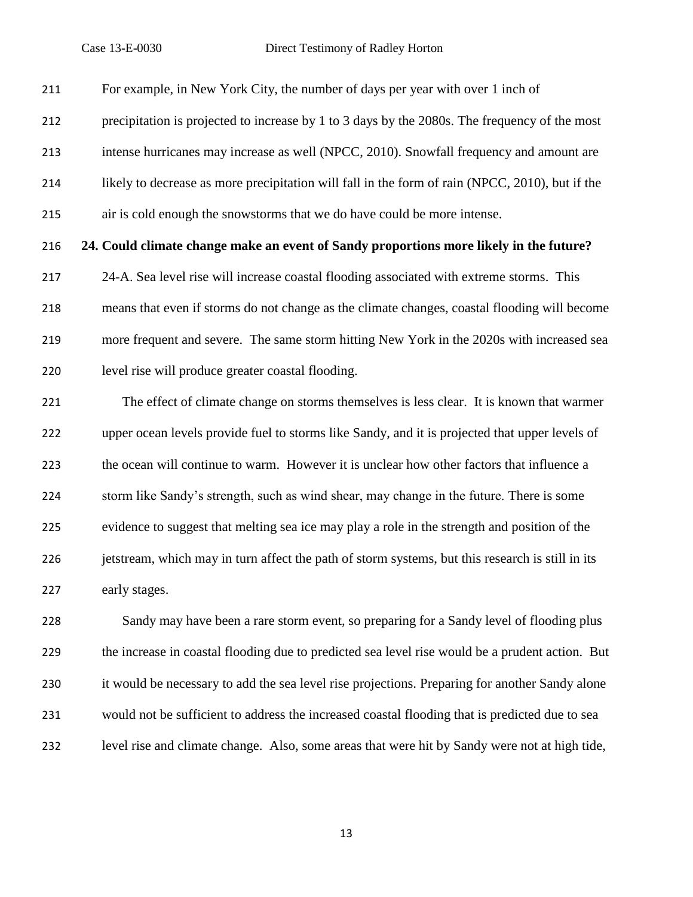For example, in New York City, the number of days per year with over 1 inch of

precipitation is projected to increase by 1 to 3 days by the 2080s. The frequency of the most

intense hurricanes may increase as well (NPCC, 2010). Snowfall frequency and amount are

likely to decrease as more precipitation will fall in the form of rain (NPCC, 2010), but if the

air is cold enough the snowstorms that we do have could be more intense.

## **24. Could climate change make an event of Sandy proportions more likely in the future?**

 24-A. Sea level rise will increase coastal flooding associated with extreme storms. This means that even if storms do not change as the climate changes, coastal flooding will become more frequent and severe. The same storm hitting New York in the 2020s with increased sea level rise will produce greater coastal flooding.

 The effect of climate change on storms themselves is less clear. It is known that warmer upper ocean levels provide fuel to storms like Sandy, and it is projected that upper levels of the ocean will continue to warm. However it is unclear how other factors that influence a storm like Sandy's strength, such as wind shear, may change in the future. There is some evidence to suggest that melting sea ice may play a role in the strength and position of the jetstream, which may in turn affect the path of storm systems, but this research is still in its early stages.

 Sandy may have been a rare storm event, so preparing for a Sandy level of flooding plus the increase in coastal flooding due to predicted sea level rise would be a prudent action. But it would be necessary to add the sea level rise projections. Preparing for another Sandy alone would not be sufficient to address the increased coastal flooding that is predicted due to sea level rise and climate change. Also, some areas that were hit by Sandy were not at high tide,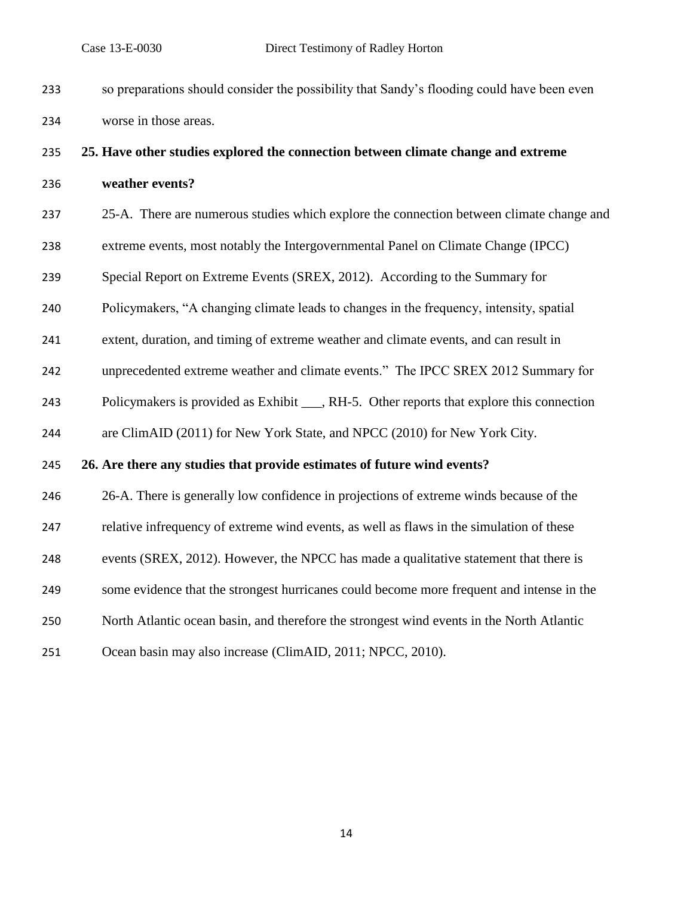so preparations should consider the possibility that Sandy's flooding could have been even worse in those areas.

# **25. Have other studies explored the connection between climate change and extreme weather events?**

- 25-A. There are numerous studies which explore the connection between climate change and
- extreme events, most notably the Intergovernmental Panel on Climate Change (IPCC)
- Special Report on Extreme Events (SREX, 2012). According to the Summary for
- Policymakers, "A changing climate leads to changes in the frequency, intensity, spatial
- extent, duration, and timing of extreme weather and climate events, and can result in
- unprecedented extreme weather and climate events." The IPCC SREX 2012 Summary for
- 243 Policymakers is provided as Exhibit \_\_\_, RH-5. Other reports that explore this connection
- are ClimAID (2011) for New York State, and NPCC (2010) for New York City.

### **26. Are there any studies that provide estimates of future wind events?**

- 26-A. There is generally low confidence in projections of extreme winds because of the
- relative infrequency of extreme wind events, as well as flaws in the simulation of these
- events (SREX, 2012). However, the NPCC has made a qualitative statement that there is
- some evidence that the strongest hurricanes could become more frequent and intense in the
- North Atlantic ocean basin, and therefore the strongest wind events in the North Atlantic
- Ocean basin may also increase (ClimAID, 2011; NPCC, 2010).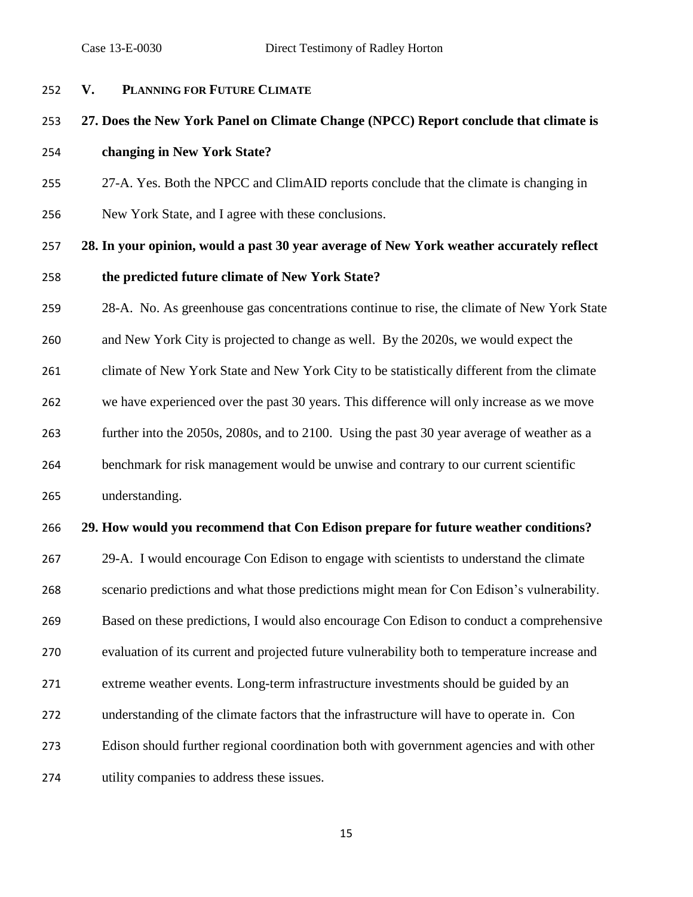**V. PLANNING FOR FUTURE CLIMATE 27. Does the New York Panel on Climate Change (NPCC) Report conclude that climate is changing in New York State?**  27-A. Yes. Both the NPCC and ClimAID reports conclude that the climate is changing in New York State, and I agree with these conclusions. **28. In your opinion, would a past 30 year average of New York weather accurately reflect the predicted future climate of New York State?**  28-A. No. As greenhouse gas concentrations continue to rise, the climate of New York State and New York City is projected to change as well. By the 2020s, we would expect the climate of New York State and New York City to be statistically different from the climate we have experienced over the past 30 years. This difference will only increase as we move further into the 2050s, 2080s, and to 2100. Using the past 30 year average of weather as a benchmark for risk management would be unwise and contrary to our current scientific understanding.

## **29. How would you recommend that Con Edison prepare for future weather conditions?**

 29-A. I would encourage Con Edison to engage with scientists to understand the climate scenario predictions and what those predictions might mean for Con Edison's vulnerability. Based on these predictions, I would also encourage Con Edison to conduct a comprehensive evaluation of its current and projected future vulnerability both to temperature increase and extreme weather events. Long-term infrastructure investments should be guided by an understanding of the climate factors that the infrastructure will have to operate in. Con Edison should further regional coordination both with government agencies and with other utility companies to address these issues.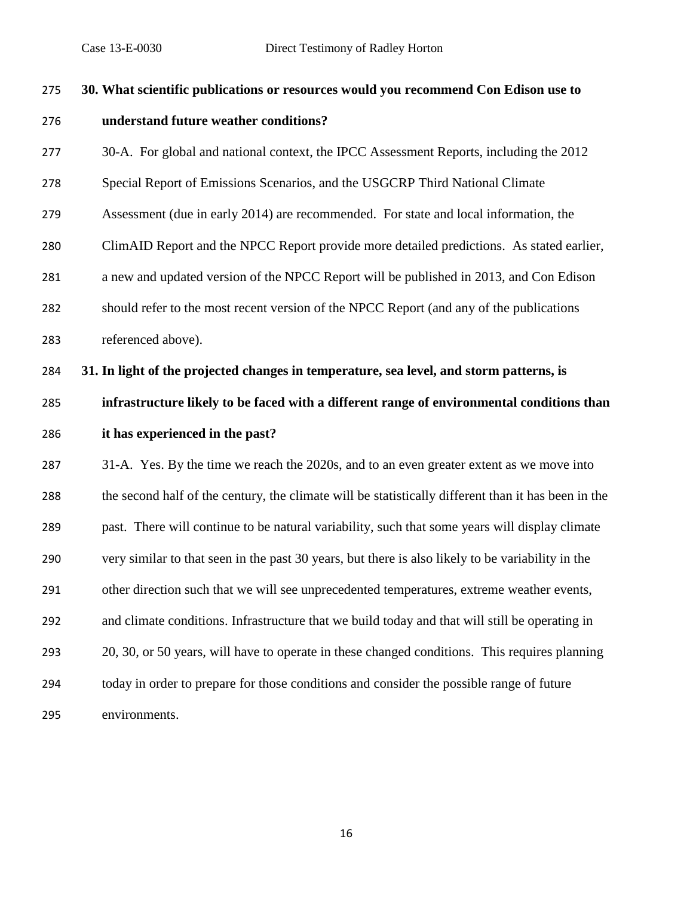| 275 | 30. What scientific publications or resources would you recommend Con Edison use to                 |
|-----|-----------------------------------------------------------------------------------------------------|
| 276 | understand future weather conditions?                                                               |
| 277 | 30-A. For global and national context, the IPCC Assessment Reports, including the 2012              |
| 278 | Special Report of Emissions Scenarios, and the USGCRP Third National Climate                        |
| 279 | Assessment (due in early 2014) are recommended. For state and local information, the                |
| 280 | ClimAID Report and the NPCC Report provide more detailed predictions. As stated earlier,            |
| 281 | a new and updated version of the NPCC Report will be published in 2013, and Con Edison              |
| 282 | should refer to the most recent version of the NPCC Report (and any of the publications             |
| 283 | referenced above).                                                                                  |
| 284 | 31. In light of the projected changes in temperature, sea level, and storm patterns, is             |
| 285 | infrastructure likely to be faced with a different range of environmental conditions than           |
| 286 | it has experienced in the past?                                                                     |
| 287 | 31-A. Yes. By the time we reach the 2020s, and to an even greater extent as we move into            |
| 288 | the second half of the century, the climate will be statistically different than it has been in the |
| 289 | past. There will continue to be natural variability, such that some years will display climate      |
| 290 | very similar to that seen in the past 30 years, but there is also likely to be variability in the   |
| 291 | other direction such that we will see unprecedented temperatures, extreme weather events,           |
| 292 | and climate conditions. Infrastructure that we build today and that will still be operating in      |
| 293 | 20, 30, or 50 years, will have to operate in these changed conditions. This requires planning       |
| 294 | today in order to prepare for those conditions and consider the possible range of future            |
| 295 | environments.                                                                                       |